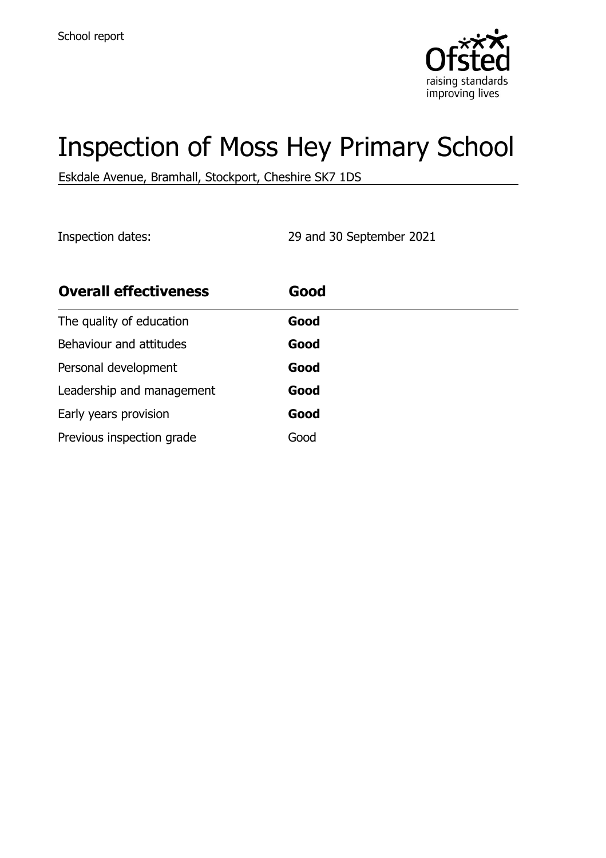

# Inspection of Moss Hey Primary School

Eskdale Avenue, Bramhall, Stockport, Cheshire SK7 1DS

Inspection dates: 29 and 30 September 2021

| <b>Overall effectiveness</b> | Good |
|------------------------------|------|
| The quality of education     | Good |
| Behaviour and attitudes      | Good |
| Personal development         | Good |
| Leadership and management    | Good |
| Early years provision        | Good |
| Previous inspection grade    | Good |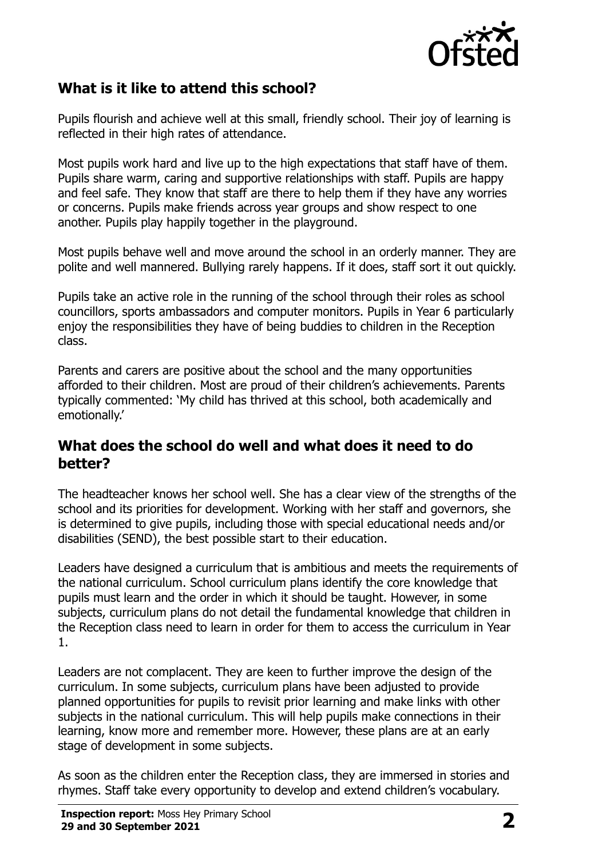

# **What is it like to attend this school?**

Pupils flourish and achieve well at this small, friendly school. Their joy of learning is reflected in their high rates of attendance.

Most pupils work hard and live up to the high expectations that staff have of them. Pupils share warm, caring and supportive relationships with staff. Pupils are happy and feel safe. They know that staff are there to help them if they have any worries or concerns. Pupils make friends across year groups and show respect to one another. Pupils play happily together in the playground.

Most pupils behave well and move around the school in an orderly manner. They are polite and well mannered. Bullying rarely happens. If it does, staff sort it out quickly.

Pupils take an active role in the running of the school through their roles as school councillors, sports ambassadors and computer monitors. Pupils in Year 6 particularly enjoy the responsibilities they have of being buddies to children in the Reception class.

Parents and carers are positive about the school and the many opportunities afforded to their children. Most are proud of their children's achievements. Parents typically commented: 'My child has thrived at this school, both academically and emotionally.'

#### **What does the school do well and what does it need to do better?**

The headteacher knows her school well. She has a clear view of the strengths of the school and its priorities for development. Working with her staff and governors, she is determined to give pupils, including those with special educational needs and/or disabilities (SEND), the best possible start to their education.

Leaders have designed a curriculum that is ambitious and meets the requirements of the national curriculum. School curriculum plans identify the core knowledge that pupils must learn and the order in which it should be taught. However, in some subjects, curriculum plans do not detail the fundamental knowledge that children in the Reception class need to learn in order for them to access the curriculum in Year 1.

Leaders are not complacent. They are keen to further improve the design of the curriculum. In some subjects, curriculum plans have been adjusted to provide planned opportunities for pupils to revisit prior learning and make links with other subjects in the national curriculum. This will help pupils make connections in their learning, know more and remember more. However, these plans are at an early stage of development in some subjects.

As soon as the children enter the Reception class, they are immersed in stories and rhymes. Staff take every opportunity to develop and extend children's vocabulary.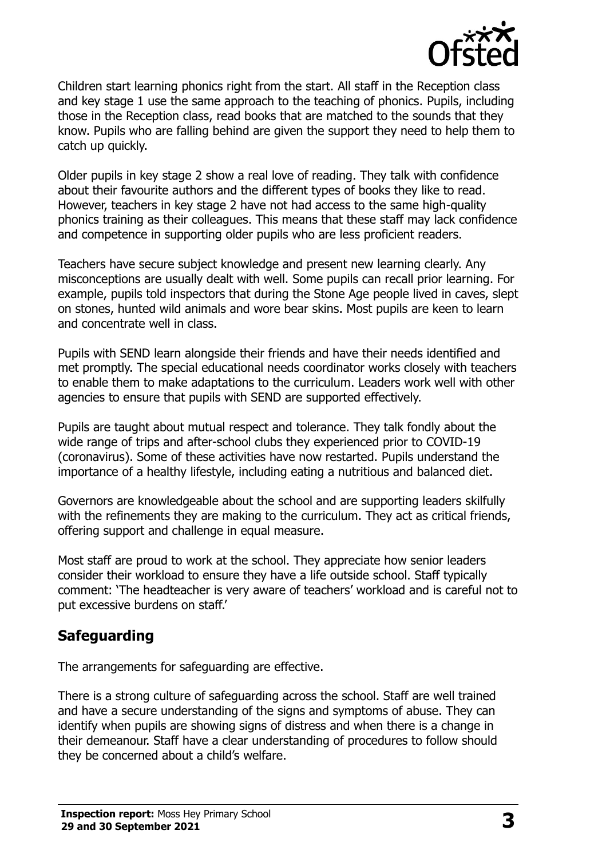

Children start learning phonics right from the start. All staff in the Reception class and key stage 1 use the same approach to the teaching of phonics. Pupils, including those in the Reception class, read books that are matched to the sounds that they know. Pupils who are falling behind are given the support they need to help them to catch up quickly.

Older pupils in key stage 2 show a real love of reading. They talk with confidence about their favourite authors and the different types of books they like to read. However, teachers in key stage 2 have not had access to the same high-quality phonics training as their colleagues. This means that these staff may lack confidence and competence in supporting older pupils who are less proficient readers.

Teachers have secure subject knowledge and present new learning clearly. Any misconceptions are usually dealt with well. Some pupils can recall prior learning. For example, pupils told inspectors that during the Stone Age people lived in caves, slept on stones, hunted wild animals and wore bear skins. Most pupils are keen to learn and concentrate well in class.

Pupils with SEND learn alongside their friends and have their needs identified and met promptly. The special educational needs coordinator works closely with teachers to enable them to make adaptations to the curriculum. Leaders work well with other agencies to ensure that pupils with SEND are supported effectively.

Pupils are taught about mutual respect and tolerance. They talk fondly about the wide range of trips and after-school clubs they experienced prior to COVID-19 (coronavirus). Some of these activities have now restarted. Pupils understand the importance of a healthy lifestyle, including eating a nutritious and balanced diet.

Governors are knowledgeable about the school and are supporting leaders skilfully with the refinements they are making to the curriculum. They act as critical friends, offering support and challenge in equal measure.

Most staff are proud to work at the school. They appreciate how senior leaders consider their workload to ensure they have a life outside school. Staff typically comment: 'The headteacher is very aware of teachers' workload and is careful not to put excessive burdens on staff.'

# **Safeguarding**

The arrangements for safeguarding are effective.

There is a strong culture of safeguarding across the school. Staff are well trained and have a secure understanding of the signs and symptoms of abuse. They can identify when pupils are showing signs of distress and when there is a change in their demeanour. Staff have a clear understanding of procedures to follow should they be concerned about a child's welfare.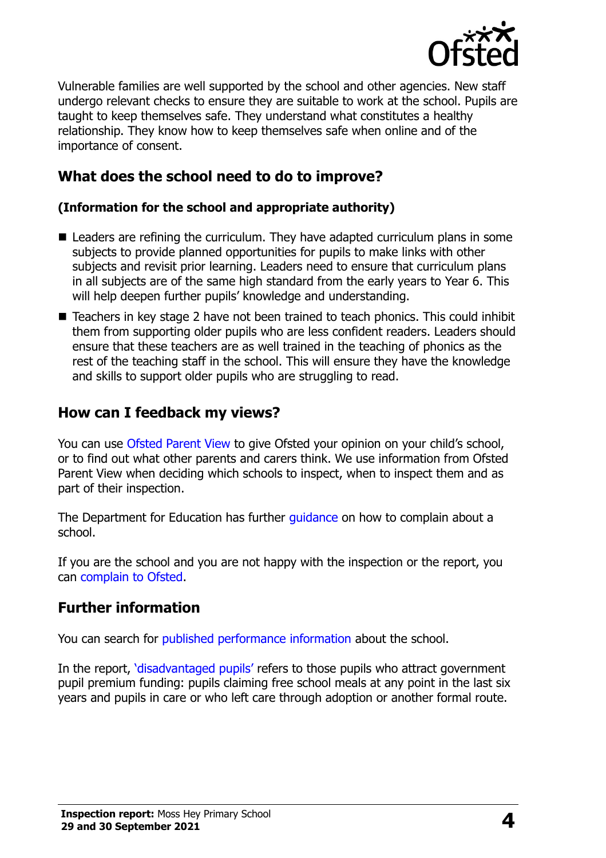

Vulnerable families are well supported by the school and other agencies. New staff undergo relevant checks to ensure they are suitable to work at the school. Pupils are taught to keep themselves safe. They understand what constitutes a healthy relationship. They know how to keep themselves safe when online and of the importance of consent.

## **What does the school need to do to improve?**

#### **(Information for the school and appropriate authority)**

- Leaders are refining the curriculum. They have adapted curriculum plans in some subjects to provide planned opportunities for pupils to make links with other subjects and revisit prior learning. Leaders need to ensure that curriculum plans in all subjects are of the same high standard from the early years to Year 6. This will help deepen further pupils' knowledge and understanding.
- Teachers in key stage 2 have not been trained to teach phonics. This could inhibit them from supporting older pupils who are less confident readers. Leaders should ensure that these teachers are as well trained in the teaching of phonics as the rest of the teaching staff in the school. This will ensure they have the knowledge and skills to support older pupils who are struggling to read.

## **How can I feedback my views?**

You can use [Ofsted Parent View](http://parentview.ofsted.gov.uk/) to give Ofsted your opinion on your child's school, or to find out what other parents and carers think. We use information from Ofsted Parent View when deciding which schools to inspect, when to inspect them and as part of their inspection.

The Department for Education has further quidance on how to complain about a school.

If you are the school and you are not happy with the inspection or the report, you can [complain to Ofsted.](http://www.gov.uk/complain-ofsted-report)

## **Further information**

You can search for [published performance information](http://www.compare-school-performance.service.gov.uk/) about the school.

In the report, '[disadvantaged pupils](http://www.gov.uk/guidance/pupil-premium-information-for-schools-and-alternative-provision-settings)' refers to those pupils who attract government pupil premium funding: pupils claiming free school meals at any point in the last six years and pupils in care or who left care through adoption or another formal route.

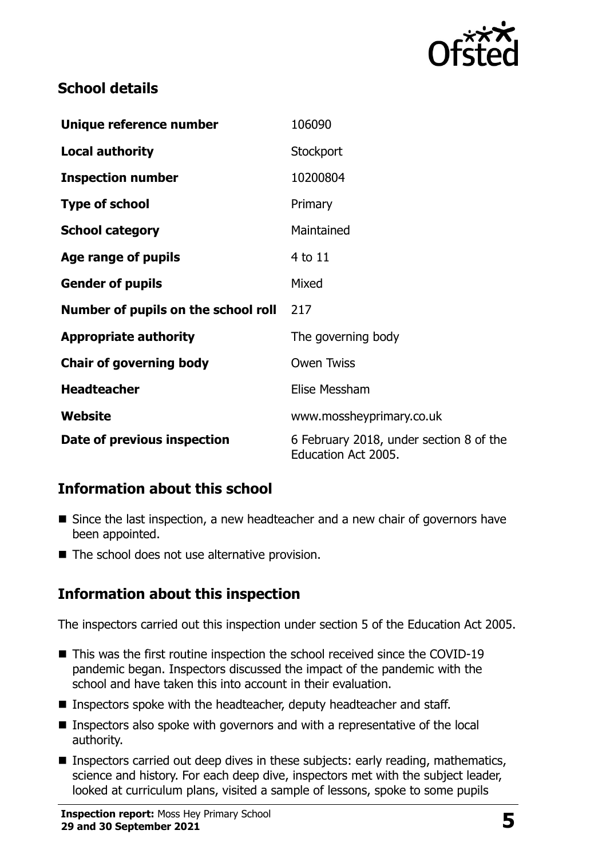

# **School details**

| Unique reference number             | 106090                                                         |
|-------------------------------------|----------------------------------------------------------------|
| <b>Local authority</b>              | Stockport                                                      |
| <b>Inspection number</b>            | 10200804                                                       |
| <b>Type of school</b>               | Primary                                                        |
| <b>School category</b>              | Maintained                                                     |
| Age range of pupils                 | 4 to 11                                                        |
| <b>Gender of pupils</b>             | Mixed                                                          |
| Number of pupils on the school roll | 217                                                            |
| <b>Appropriate authority</b>        | The governing body                                             |
| <b>Chair of governing body</b>      | <b>Owen Twiss</b>                                              |
| <b>Headteacher</b>                  | Elise Messham                                                  |
| Website                             | www.mossheyprimary.co.uk                                       |
| Date of previous inspection         | 6 February 2018, under section 8 of the<br>Education Act 2005. |

# **Information about this school**

- Since the last inspection, a new headteacher and a new chair of governors have been appointed.
- The school does not use alternative provision.

# **Information about this inspection**

The inspectors carried out this inspection under section 5 of the Education Act 2005.

- This was the first routine inspection the school received since the COVID-19 pandemic began. Inspectors discussed the impact of the pandemic with the school and have taken this into account in their evaluation.
- Inspectors spoke with the headteacher, deputy headteacher and staff.
- Inspectors also spoke with governors and with a representative of the local authority.
- **Inspectors carried out deep dives in these subjects: early reading, mathematics,** science and history. For each deep dive, inspectors met with the subject leader, looked at curriculum plans, visited a sample of lessons, spoke to some pupils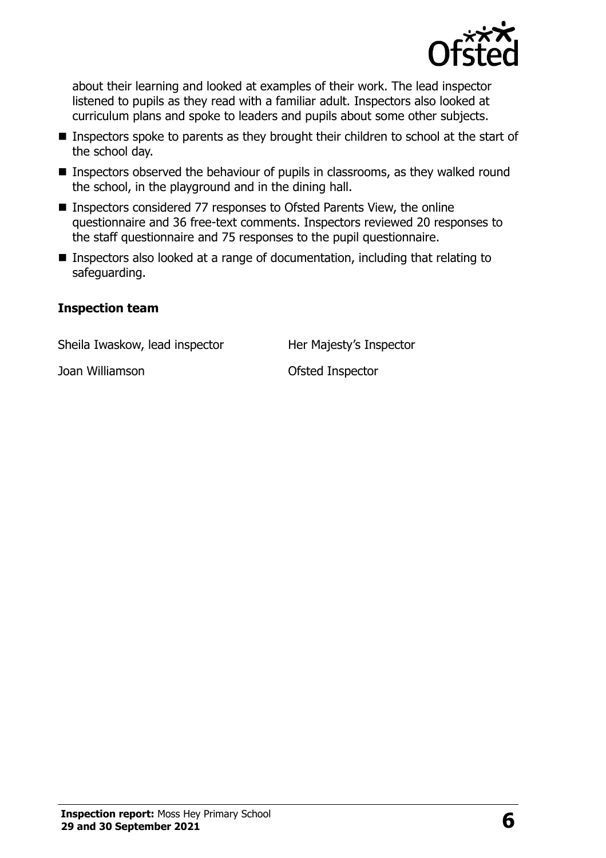

about their learning and looked at examples of their work. The lead inspector listened to pupils as they read with a familiar adult. Inspectors also looked at curriculum plans and spoke to leaders and pupils about some other subjects.

- **Inspectors spoke to parents as they brought their children to school at the start of** the school day.
- **Inspectors observed the behaviour of pupils in classrooms, as they walked round** the school, in the playground and in the dining hall.
- Inspectors considered 77 responses to Ofsted Parents View, the online questionnaire and 36 free-text comments. Inspectors reviewed 20 responses to the staff questionnaire and 75 responses to the pupil questionnaire.
- Inspectors also looked at a range of documentation, including that relating to safeguarding.

#### **Inspection team**

Sheila Iwaskow, lead inspector **Her Majesty's Inspector** 

Joan Williamson Ofsted Inspector